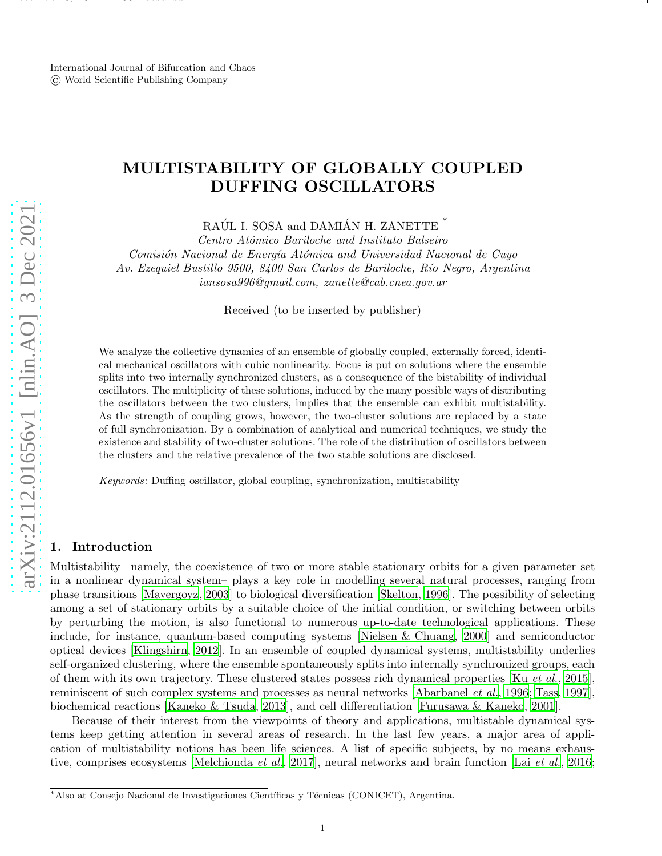International Journal of Bifurcation and Chaos © World Scientific Publishing Company

december 6, 2021 is a construction of the construction of the construction of the construction of the construction of the construction of the construction of the construction of the construction of the construction of the

# MULTISTABILITY OF GLOBALLY COUPLED DUFFING OSCILLATORS

RAÚL I. SOSA and DAMIÁN H. ZANETTE $^\ast$ 

*Centro At´omico Bariloche and Instituto Balseiro Comisi´on Nacional de Energ´ıa At´omica and Universidad Nacional de Cuyo Av. Ezequiel Bustillo 9500, 8400 San Carlos de Bariloche, R´ıo Negro, Argentina iansosa996@gmail.com, zanette@cab.cnea.gov.ar*

Received (to be inserted by publisher)

We analyze the collective dynamics of an ensemble of globally coupled, externally forced, identical mechanical oscillators with cubic nonlinearity. Focus is put on solutions where the ensemble splits into two internally synchronized clusters, as a consequence of the bistability of individual oscillators. The multiplicity of these solutions, induced by the many possible ways of distributing the oscillators between the two clusters, implies that the ensemble can exhibit multistability. As the strength of coupling grows, however, the two-cluster solutions are replaced by a state of full synchronization. By a combination of analytical and numerical techniques, we study the existence and stability of two-cluster solutions. The role of the distribution of oscillators between the clusters and the relative prevalence of the two stable solutions are disclosed.

*Keywords*: Duffing oscillator, global coupling, synchronization, multistability

## 1. Introduction

Multistability –namely, the coexistence of two or more stable stationary orbits for a given parameter set in a nonlinear dynamical system– plays a key role in modelling several natural processes, ranging from phase transitions [\[Mayergoyz](#page-11-0), [2003](#page-11-0)] to biological diversification [\[Skelton, 1996\]](#page-12-0). The possibility of selecting among a set of stationary orbits by a suitable choice of the initial condition, or switching between orbits by perturbing the motion, is also functional to numerous up-to-date technological applications. These include, for instance, quantum-based computing systems [\[Nielsen & Chuang](#page-11-1), [2000](#page-11-1)] and semiconductor optical devices [\[Klingshirn, 2012](#page-11-2)]. In an ensemble of coupled dynamical systems, multistability underlies self-organized clustering, where the ensemble spontaneously splits into internally synchronized groups, each of them with its own trajectory. These clustered states possess rich dynamical properties [Ku *[et al.](#page-11-3)*, [2015](#page-11-3)], reminiscent of such complex systems and processes as neural networks [\[Abarbanel](#page-10-0) *et al.*, [1996](#page-10-0); [Tass](#page-12-1), [1997](#page-12-1)], biochemical reactions [\[Kaneko & Tsuda](#page-11-4), [2013\]](#page-11-4), and cell differentiation [\[Furusawa & Kaneko](#page-11-5), [2001](#page-11-5)].

Because of their interest from the viewpoints of theory and applications, multistable dynamical systems keep getting attention in several areas of research. In the last few years, a major area of application of multistability notions has been life sciences. A list of specific subjects, by no means exhaustive, comprises ecosystems [\[Melchionda](#page-11-6) *et al.*, [2017](#page-11-6)], neural networks and brain function [Lai *[et al.](#page-11-7)*, [2016](#page-11-7);

<sup>\*</sup>Also at Consejo Nacional de Investigaciones Científicas y Técnicas (CONICET), Argentina.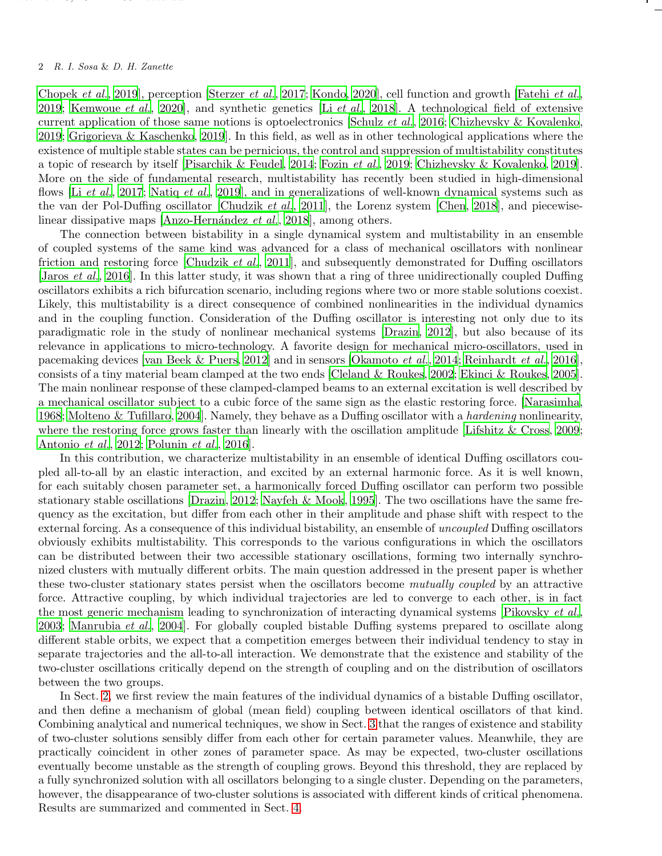## 2 R. I. Sosa & D. H. Zanette

december 6, 2021 is a construction of the construction of the construction of the construction of the construction of the construction of the construction of the construction of the construction of the construction of the

[Chopek](#page-11-8) *et al.*, [2019](#page-11-8)], perception [\[Sterzer](#page-12-2) *et al.*, [2017](#page-12-2); [Kondo](#page-11-9), [2020](#page-11-9)], cell function and growth [\[Fatehi](#page-11-10) *et al.*, [2019](#page-11-10); [Kemwoue](#page-11-11) *et al.*, [2020](#page-11-11)], and synthetic genetics [Li *[et al.](#page-11-12)*, [2018](#page-11-12)]. A technological field of extensive current application of those same notions is optoelectronics [\[Schulz](#page-12-3) *et al.*, [2016;](#page-12-3) [Chizhevsky & Kovalenko](#page-10-1), [2019](#page-10-1); [Grigorieva & Kaschenko, 2019\]](#page-11-13). In this field, as well as in other technological applications where the existence of multiple stable states can be pernicious, the control and suppression of multistability constitutes a topic of research by itself [\[Pisarchik & Feudel, 2014](#page-12-4); [Fozin](#page-11-14) *et al.*, [2019](#page-11-14); [Chizhevsky & Kovalenko, 2019](#page-10-1)]. More on the side of fundamental research, multistability has recently been studied in high-dimensional flows [Li *[et al.](#page-11-15)*, [2017](#page-11-15); [Natiq](#page-11-16) *et al.*, [2019](#page-11-16)], and in generalizations of well-known dynamical systems such as the van der Pol-Duffing oscillator [\[Chudzik](#page-11-17) *et al.*, [2011](#page-11-17)], the Lorenz system [\[Chen](#page-10-2), [2018](#page-10-2)], and piecewiselinear dissipative maps [Anzo-Hernández *et al.*, [2018\]](#page-10-3), among others.

The connection between bistability in a single dynamical system and multistability in an ensemble of coupled systems of the same kind was advanced for a class of mechanical oscillators with nonlinear friction and restoring force [\[Chudzik](#page-11-17) *et al.*, [2011](#page-11-17)], and subsequently demonstrated for Duffing oscillators [\[Jaros](#page-11-18) *et al.*, [2016\]](#page-11-18). In this latter study, it was shown that a ring of three unidirectionally coupled Duffing oscillators exhibits a rich bifurcation scenario, including regions where two or more stable solutions coexist. Likely, this multistability is a direct consequence of combined nonlinearities in the individual dynamics and in the coupling function. Consideration of the Duffing oscillator is interesting not only due to its paradigmatic role in the study of nonlinear mechanical systems [\[Drazin](#page-11-19), [2012](#page-11-19)], but also because of its relevance in applications to micro-technology. A favorite design for mechanical micro-oscillators, used in pacemaking devices [\[van Beek & Puers, 2012](#page-12-5)] and in sensors [\[Okamoto](#page-12-6) *et al.*, [2014;](#page-12-6) [Reinhardt](#page-12-7) *et al.*, [2016](#page-12-7)], consists of a tiny material beam clamped at the two ends [\[Cleland & Roukes](#page-11-20), [2002;](#page-11-20) [Ekinci & Roukes, 2005](#page-11-21)]. The main nonlinear response of these clamped-clamped beams to an external excitation is well described by a mechanical oscillator subject to a cubic force of the same sign as the elastic restoring force. [\[Narasimha](#page-11-22), [1968](#page-11-22); [Molteno & Tufillaro](#page-11-23), [2004\]](#page-11-23). Namely, they behave as a Duffing oscillator with a *hardening* nonlinearity, where the restoring force grows faster than linearly with the oscillation amplitude [\[Lifshitz & Cross](#page-11-24), [2009](#page-11-24); [Antonio](#page-10-4) *et al.*, [2012;](#page-10-4) [Polunin](#page-12-8) *et al.*, [2016\]](#page-12-8).

In this contribution, we characterize multistability in an ensemble of identical Duffing oscillators coupled all-to-all by an elastic interaction, and excited by an external harmonic force. As it is well known, for each suitably chosen parameter set, a harmonically forced Duffing oscillator can perform two possible stationary stable oscillations [\[Drazin](#page-11-19), [2012](#page-11-19); [Nayfeh & Mook, 1995\]](#page-11-25). The two oscillations have the same frequency as the excitation, but differ from each other in their amplitude and phase shift with respect to the external forcing. As a consequence of this individual bistability, an ensemble of *uncoupled* Duffing oscillators obviously exhibits multistability. This corresponds to the various configurations in which the oscillators can be distributed between their two accessible stationary oscillations, forming two internally synchronized clusters with mutually different orbits. The main question addressed in the present paper is whether these two-cluster stationary states persist when the oscillators become *mutually coupled* by an attractive force. Attractive coupling, by which individual trajectories are led to converge to each other, is in fact the most generic mechanism leading to synchronization of interacting dynamical systems [\[Pikovsky](#page-12-9) *et al.*, [2003](#page-12-9); [Manrubia](#page-11-26) *et al.*, [2004](#page-11-26)]. For globally coupled bistable Duffing systems prepared to oscillate along different stable orbits, we expect that a competition emerges between their individual tendency to stay in separate trajectories and the all-to-all interaction. We demonstrate that the existence and stability of the two-cluster oscillations critically depend on the strength of coupling and on the distribution of oscillators between the two groups.

In Sect. [2,](#page-2-0) we first review the main features of the individual dynamics of a bistable Duffing oscillator, and then define a mechanism of global (mean field) coupling between identical oscillators of that kind. Combining analytical and numerical techniques, we show in Sect. [3](#page-4-0) that the ranges of existence and stability of two-cluster solutions sensibly differ from each other for certain parameter values. Meanwhile, they are practically coincident in other zones of parameter space. As may be expected, two-cluster oscillations eventually become unstable as the strength of coupling grows. Beyond this threshold, they are replaced by a fully synchronized solution with all oscillators belonging to a single cluster. Depending on the parameters, however, the disappearance of two-cluster solutions is associated with different kinds of critical phenomena. Results are summarized and commented in Sect. [4.](#page-10-5)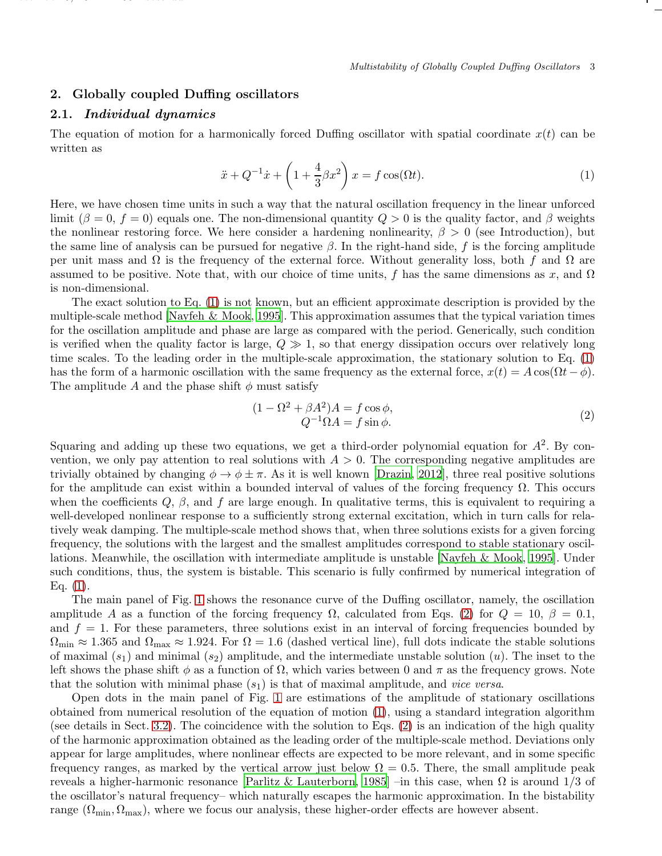## <span id="page-2-0"></span>2. Globally coupled Duffing oscillators

#### 2.1. Individual dynamics

december 6, 2021 is a construction of the construction of the construction of the construction of the construction of the construction of the construction of the construction of the construction of the construction of the

The equation of motion for a harmonically forced Duffing oscillator with spatial coordinate  $x(t)$  can be written as

<span id="page-2-1"></span>
$$
\ddot{x} + Q^{-1}\dot{x} + \left(1 + \frac{4}{3}\beta x^2\right)x = f\cos(\Omega t). \tag{1}
$$

Here, we have chosen time units in such a way that the natural oscillation frequency in the linear unforced limit  $(\beta = 0, f = 0)$  equals one. The non-dimensional quantity  $Q > 0$  is the quality factor, and  $\beta$  weights the nonlinear restoring force. We here consider a hardening nonlinearity,  $\beta > 0$  (see Introduction), but the same line of analysis can be pursued for negative  $\beta$ . In the right-hand side, f is the forcing amplitude per unit mass and  $\Omega$  is the frequency of the external force. Without generality loss, both f and  $\Omega$  are assumed to be positive. Note that, with our choice of time units, f has the same dimensions as x, and  $\Omega$ is non-dimensional.

The exact solution to Eq. [\(1\)](#page-2-1) is not known, but an efficient approximate description is provided by the multiple-scale method [\[Nayfeh & Mook](#page-11-25), [1995](#page-11-25)]. This approximation assumes that the typical variation times for the oscillation amplitude and phase are large as compared with the period. Generically, such condition is verified when the quality factor is large,  $Q \gg 1$ , so that energy dissipation occurs over relatively long time scales. To the leading order in the multiple-scale approximation, the stationary solution to Eq. [\(1\)](#page-2-1) has the form of a harmonic oscillation with the same frequency as the external force,  $x(t) = A \cos(\Omega t - \phi)$ . The amplitude A and the phase shift  $\phi$  must satisfy

<span id="page-2-2"></span>
$$
(1 - \Omega^2 + \beta A^2)A = f \cos \phi,
$$
  
\n
$$
Q^{-1}\Omega A = f \sin \phi.
$$
\n(2)

Squaring and adding up these two equations, we get a third-order polynomial equation for  $A^2$ . By convention, we only pay attention to real solutions with  $A > 0$ . The corresponding negative amplitudes are trivially obtained by changing  $\phi \to \phi \pm \pi$ . As it is well known [\[Drazin, 2012](#page-11-19)], three real positive solutions for the amplitude can exist within a bounded interval of values of the forcing frequency  $\Omega$ . This occurs when the coefficients  $Q, \beta$ , and f are large enough. In qualitative terms, this is equivalent to requiring a well-developed nonlinear response to a sufficiently strong external excitation, which in turn calls for relatively weak damping. The multiple-scale method shows that, when three solutions exists for a given forcing frequency, the solutions with the largest and the smallest amplitudes correspond to stable stationary oscillations. Meanwhile, the oscillation with intermediate amplitude is unstable [\[Nayfeh & Mook](#page-11-25), [1995](#page-11-25)]. Under such conditions, thus, the system is bistable. This scenario is fully confirmed by numerical integration of Eq.  $(1)$ .

The main panel of Fig. [1](#page-3-0) shows the resonance curve of the Duffing oscillator, namely, the oscillation amplitude A as a function of the forcing frequency  $\Omega$ , calculated from Eqs. [\(2\)](#page-2-2) for  $Q = 10$ ,  $\beta = 0.1$ , and  $f = 1$ . For these parameters, three solutions exist in an interval of forcing frequencies bounded by  $\Omega_{\text{min}} \approx 1.365$  and  $\Omega_{\text{max}} \approx 1.924$ . For  $\Omega = 1.6$  (dashed vertical line), full dots indicate the stable solutions of maximal  $(s_1)$  and minimal  $(s_2)$  amplitude, and the intermediate unstable solution  $(u)$ . The inset to the left shows the phase shift  $\phi$  as a function of  $\Omega$ , which varies between 0 and  $\pi$  as the frequency grows. Note that the solution with minimal phase  $(s_1)$  is that of maximal amplitude, and *vice versa*.

Open dots in the main panel of Fig. [1](#page-3-0) are estimations of the amplitude of stationary oscillations obtained from numerical resolution of the equation of motion [\(1\)](#page-2-1), using a standard integration algorithm (see details in Sect. [3.2\)](#page-7-0). The coincidence with the solution to Eqs. [\(2\)](#page-2-2) is an indication of the high quality of the harmonic approximation obtained as the leading order of the multiple-scale method. Deviations only appear for large amplitudes, where nonlinear effects are expected to be more relevant, and in some specific frequency ranges, as marked by the vertical arrow just below  $\Omega = 0.5$ . There, the small amplitude peak reveals a higher-harmonic resonance [\[Parlitz & Lauterborn, 1985](#page-12-10)] –in this case, when  $\Omega$  is around  $1/3$  of the oscillator's natural frequency– which naturally escapes the harmonic approximation. In the bistability range ( $\Omega_{\text{min}}$ ,  $\Omega_{\text{max}}$ ), where we focus our analysis, these higher-order effects are however absent.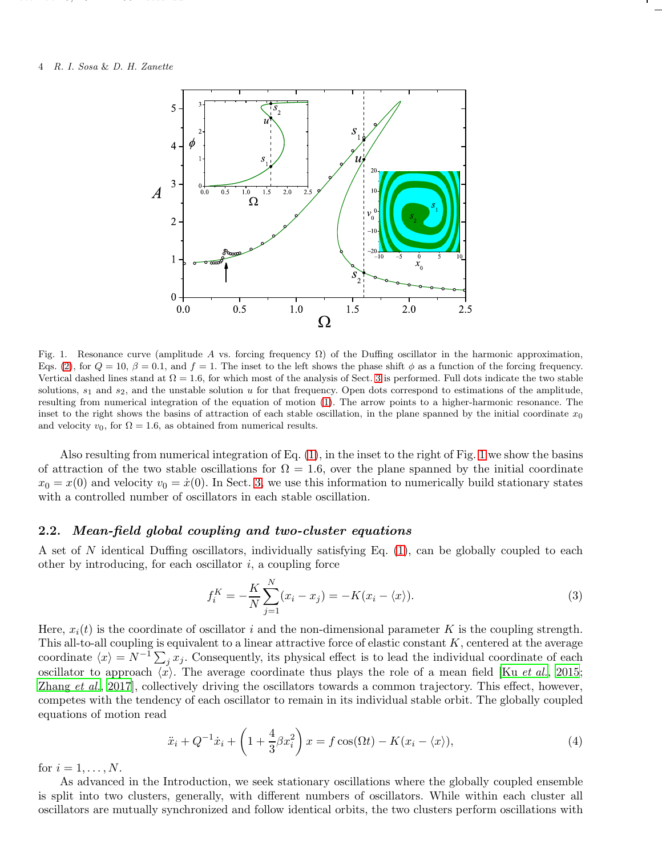december 6, 2021 is a construction of the construction of the construction of the construction of the construction of the construction of the construction of the construction of the construction of the construction of the



<span id="page-3-0"></span>Fig. 1. Resonance curve (amplitude A vs. forcing frequency  $\Omega$ ) of the Duffing oscillator in the harmonic approximation, Eqs. [\(2\)](#page-2-2), for  $Q = 10$ ,  $\beta = 0.1$ , and  $f = 1$ . The inset to the left shows the phase shift  $\phi$  as a function of the forcing frequency. Vertical dashed lines stand at  $\Omega = 1.6$ , for which most of the analysis of Sect. [3](#page-4-0) is performed. Full dots indicate the two stable solutions,  $s_1$  and  $s_2$ , and the unstable solution u for that frequency. Open dots correspond to estimations of the amplitude, resulting from numerical integration of the equation of motion [\(1\)](#page-2-1). The arrow points to a higher-harmonic resonance. The inset to the right shows the basins of attraction of each stable oscillation, in the plane spanned by the initial coordinate  $x_0$ and velocity  $v_0$ , for  $\Omega = 1.6$ , as obtained from numerical results.

Also resulting from numerical integration of Eq. [\(1\)](#page-2-1), in the inset to the right of Fig. [1](#page-3-0) we show the basins of attraction of the two stable oscillations for  $\Omega = 1.6$ , over the plane spanned by the initial coordinate  $x_0 = x(0)$  and velocity  $v_0 = \dot{x}(0)$ . In Sect. [3,](#page-4-0) we use this information to numerically build stationary states with a controlled number of oscillators in each stable oscillation.

## <span id="page-3-2"></span>2.2. Mean-field global coupling and two-cluster equations

A set of N identical Duffing oscillators, individually satisfying Eq. [\(1\)](#page-2-1), can be globally coupled to each other by introducing, for each oscillator  $i$ , a coupling force

$$
f_i^{K} = -\frac{K}{N} \sum_{j=1}^{N} (x_i - x_j) = -K(x_i - \langle x \rangle).
$$
 (3)

Here,  $x_i(t)$  is the coordinate of oscillator i and the non-dimensional parameter K is the coupling strength. This all-to-all coupling is equivalent to a linear attractive force of elastic constant  $K$ , centered at the average coordinate  $\langle x \rangle = N^{-1} \sum_j x_j$ . Consequently, its physical effect is to lead the individual coordinate of each oscillator to approach  $\langle x \rangle$ . The average coordinate thus plays the role of a mean field [Ku *[et al.](#page-11-3)*, [2015](#page-11-3); [Zhang](#page-12-11) *et al.*, [2017](#page-12-11)], collectively driving the oscillators towards a common trajectory. This effect, however, competes with the tendency of each oscillator to remain in its individual stable orbit. The globally coupled equations of motion read

<span id="page-3-1"></span>
$$
\ddot{x}_i + Q^{-1}\dot{x}_i + \left(1 + \frac{4}{3}\beta x_i^2\right)x = f\cos(\Omega t) - K(x_i - \langle x \rangle),\tag{4}
$$

for  $i = 1, \ldots, N$ .

As advanced in the Introduction, we seek stationary oscillations where the globally coupled ensemble is split into two clusters, generally, with different numbers of oscillators. While within each cluster all oscillators are mutually synchronized and follow identical orbits, the two clusters perform oscillations with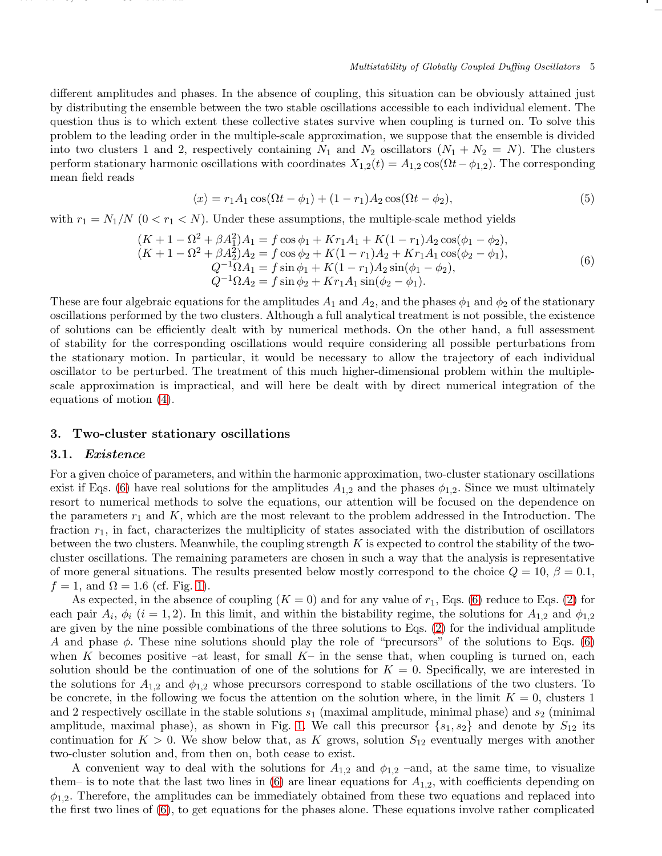different amplitudes and phases. In the absence of coupling, this situation can be obviously attained just by distributing the ensemble between the two stable oscillations accessible to each individual element. The question thus is to which extent these collective states survive when coupling is turned on. To solve this problem to the leading order in the multiple-scale approximation, we suppose that the ensemble is divided into two clusters 1 and 2, respectively containing  $N_1$  and  $N_2$  oscillators  $(N_1 + N_2 = N)$ . The clusters perform stationary harmonic oscillations with coordinates  $X_{1,2}(t) = A_{1,2} \cos(\Omega t - \phi_{1,2})$ . The corresponding mean field reads

$$
\langle x \rangle = r_1 A_1 \cos(\Omega t - \phi_1) + (1 - r_1) A_2 \cos(\Omega t - \phi_2),\tag{5}
$$

with  $r_1 = N_1/N$  ( $0 < r_1 < N$ ). Under these assumptions, the multiple-scale method yields

<span id="page-4-1"></span>
$$
(K+1 - \Omega^2 + \beta A_1^2)A_1 = f \cos \phi_1 + Kr_1A_1 + K(1-r_1)A_2 \cos(\phi_1 - \phi_2),(K+1 - \Omega^2 + \beta A_2^2)A_2 = f \cos \phi_2 + K(1-r_1)A_2 + Kr_1A_1 \cos(\phi_2 - \phi_1),Q^{-1}\Omega A_1 = f \sin \phi_1 + K(1-r_1)A_2 \sin(\phi_1 - \phi_2),Q^{-1}\Omega A_2 = f \sin \phi_2 + Kr_1A_1 \sin(\phi_2 - \phi_1).
$$
\n(6)

These are four algebraic equations for the amplitudes  $A_1$  and  $A_2$ , and the phases  $\phi_1$  and  $\phi_2$  of the stationary oscillations performed by the two clusters. Although a full analytical treatment is not possible, the existence of solutions can be efficiently dealt with by numerical methods. On the other hand, a full assessment of stability for the corresponding oscillations would require considering all possible perturbations from the stationary motion. In particular, it would be necessary to allow the trajectory of each individual oscillator to be perturbed. The treatment of this much higher-dimensional problem within the multiplescale approximation is impractical, and will here be dealt with by direct numerical integration of the equations of motion [\(4\)](#page-3-1).

## <span id="page-4-2"></span><span id="page-4-0"></span>3. Two-cluster stationary oscillations

## 3.1. Existence

december 6, 2021 is a construction of the construction of the construction of the construction of the construction of the construction of the construction of the construction of the construction of the construction of the

For a given choice of parameters, and within the harmonic approximation, two-cluster stationary oscillations exist if Eqs. [\(6\)](#page-4-1) have real solutions for the amplitudes  $A_{1,2}$  and the phases  $\phi_{1,2}$ . Since we must ultimately resort to numerical methods to solve the equations, our attention will be focused on the dependence on the parameters  $r_1$  and K, which are the most relevant to the problem addressed in the Introduction. The fraction  $r_1$ , in fact, characterizes the multiplicity of states associated with the distribution of oscillators between the two clusters. Meanwhile, the coupling strength  $K$  is expected to control the stability of the twocluster oscillations. The remaining parameters are chosen in such a way that the analysis is representative of more general situations. The results presented below mostly correspond to the choice  $Q = 10$ ,  $\beta = 0.1$ ,  $f = 1$ , and  $\Omega = 1.6$  (cf. Fig. [1\)](#page-3-0).

As expected, in the absence of coupling  $(K = 0)$  and for any value of  $r_1$ , Eqs. [\(6\)](#page-4-1) reduce to Eqs. [\(2\)](#page-2-2) for each pair  $A_i$ ,  $\phi_i$  (i = 1, 2). In this limit, and within the bistability regime, the solutions for  $A_{1,2}$  and  $\phi_{1,2}$ are given by the nine possible combinations of the three solutions to Eqs. [\(2\)](#page-2-2) for the individual amplitude A and phase  $\phi$ . These nine solutions should play the role of "precursors" of the solutions to Eqs. [\(6\)](#page-4-1) when K becomes positive –at least, for small  $K-$  in the sense that, when coupling is turned on, each solution should be the continuation of one of the solutions for  $K = 0$ . Specifically, we are interested in the solutions for  $A_{1,2}$  and  $\phi_{1,2}$  whose precursors correspond to stable oscillations of the two clusters. To be concrete, in the following we focus the attention on the solution where, in the limit  $K = 0$ , clusters 1 and 2 respectively oscillate in the stable solutions  $s_1$  (maximal amplitude, minimal phase) and  $s_2$  (minimal amplitude, maximal phase), as shown in Fig. [1.](#page-3-0) We call this precursor  $\{s_1, s_2\}$  and denote by  $S_{12}$  its continuation for  $K > 0$ . We show below that, as K grows, solution  $S_{12}$  eventually merges with another two-cluster solution and, from then on, both cease to exist.

A convenient way to deal with the solutions for  $A_{1,2}$  and  $\phi_{1,2}$  –and, at the same time, to visualize them– is to note that the last two lines in  $(6)$  are linear equations for  $A_{1,2}$ , with coefficients depending on  $\phi_{1,2}$ . Therefore, the amplitudes can be immediately obtained from these two equations and replaced into the first two lines of [\(6\)](#page-4-1), to get equations for the phases alone. These equations involve rather complicated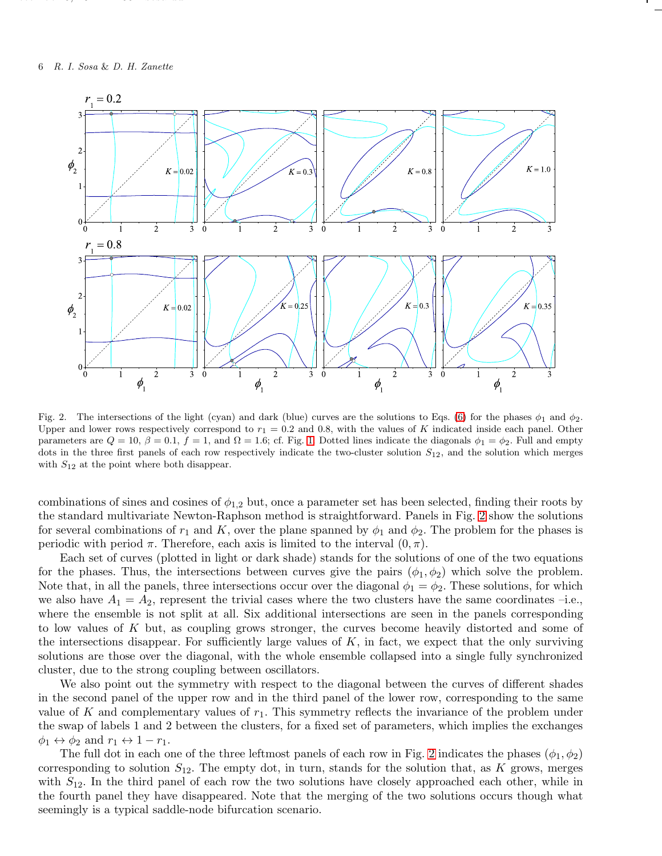december 6, 2021 is a construction of the construction of the construction of the construction of the construction of the construction of the construction of the construction of the construction of the construction of the



<span id="page-5-0"></span>Fig. 2. The intersections of the light (cyan) and dark (blue) curves are the solutions to Eqs. [\(6\)](#page-4-1) for the phases  $\phi_1$  and  $\phi_2$ . Upper and lower rows respectively correspond to  $r_1 = 0.2$  and 0.8, with the values of K indicated inside each panel. Other parameters are  $Q = 10$ ,  $\beta = 0.1$ ,  $f = 1$ , and  $\Omega = 1.6$  $\Omega = 1.6$  $\Omega = 1.6$ ; cf. Fig. 1. Dotted lines indicate the diagonals  $\phi_1 = \phi_2$ . Full and empty dots in the three first panels of each row respectively indicate the two-cluster solution  $S_{12}$ , and the solution which merges with  $S_{12}$  at the point where both disappear.

combinations of sines and cosines of  $\phi_{1,2}$  but, once a parameter set has been selected, finding their roots by the standard multivariate Newton-Raphson method is straightforward. Panels in Fig. [2](#page-5-0) show the solutions for several combinations of  $r_1$  and K, over the plane spanned by  $\phi_1$  and  $\phi_2$ . The problem for the phases is periodic with period  $\pi$ . Therefore, each axis is limited to the interval  $(0, \pi)$ .

Each set of curves (plotted in light or dark shade) stands for the solutions of one of the two equations for the phases. Thus, the intersections between curves give the pairs  $(\phi_1, \phi_2)$  which solve the problem. Note that, in all the panels, three intersections occur over the diagonal  $\phi_1 = \phi_2$ . These solutions, for which we also have  $A_1 = A_2$ , represent the trivial cases where the two clusters have the same coordinates -i.e., where the ensemble is not split at all. Six additional intersections are seen in the panels corresponding to low values of K but, as coupling grows stronger, the curves become heavily distorted and some of the intersections disappear. For sufficiently large values of  $K$ , in fact, we expect that the only surviving solutions are those over the diagonal, with the whole ensemble collapsed into a single fully synchronized cluster, due to the strong coupling between oscillators.

We also point out the symmetry with respect to the diagonal between the curves of different shades in the second panel of the upper row and in the third panel of the lower row, corresponding to the same value of K and complementary values of  $r_1$ . This symmetry reflects the invariance of the problem under the swap of labels 1 and 2 between the clusters, for a fixed set of parameters, which implies the exchanges  $\phi_1 \leftrightarrow \phi_2$  and  $r_1 \leftrightarrow 1-r_1$ .

The full dot in each one of the three leftmost panels of each row in Fig. [2](#page-5-0) indicates the phases  $(\phi_1, \phi_2)$ corresponding to solution  $S_{12}$ . The empty dot, in turn, stands for the solution that, as K grows, merges with  $S_{12}$ . In the third panel of each row the two solutions have closely approached each other, while in the fourth panel they have disappeared. Note that the merging of the two solutions occurs though what seemingly is a typical saddle-node bifurcation scenario.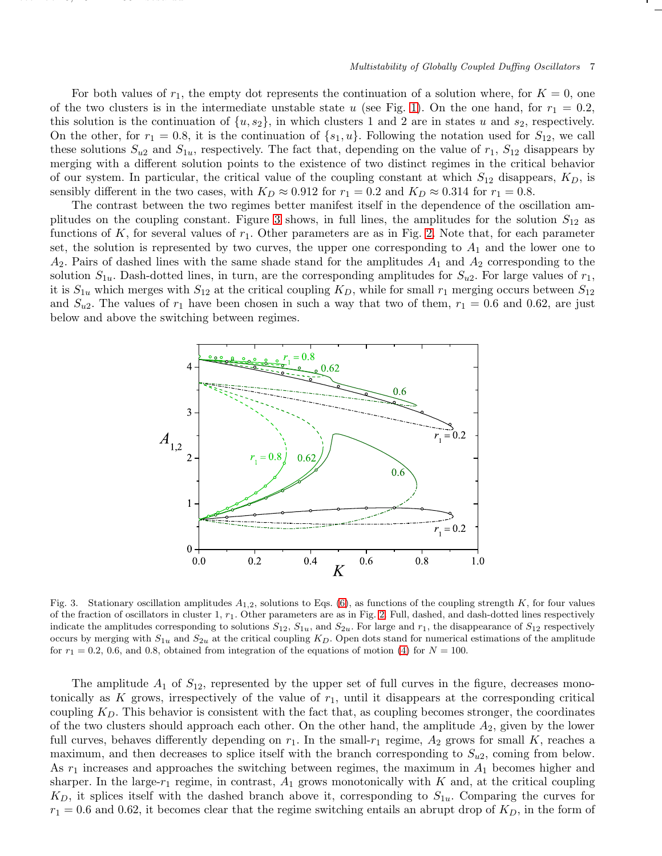For both values of  $r_1$ , the empty dot represents the continuation of a solution where, for  $K = 0$ , one of the two clusters is in the intermediate unstable state u (see Fig. [1\)](#page-3-0). On the one hand, for  $r_1 = 0.2$ , this solution is the continuation of  $\{u, s_2\}$ , in which clusters 1 and 2 are in states u and  $s_2$ , respectively. On the other, for  $r_1 = 0.8$ , it is the continuation of  $\{s_1, u\}$ . Following the notation used for  $S_{12}$ , we call these solutions  $S_{u2}$  and  $S_{1u}$ , respectively. The fact that, depending on the value of  $r_1$ ,  $S_{12}$  disappears by merging with a different solution points to the existence of two distinct regimes in the critical behavior of our system. In particular, the critical value of the coupling constant at which  $S_{12}$  disappears,  $K_D$ , is sensibly different in the two cases, with  $K_D \approx 0.912$  for  $r_1 = 0.2$  and  $K_D \approx 0.314$  for  $r_1 = 0.8$ .

december 6, 2021 is a construction of the construction of the construction of the construction of the construction of the construction of the construction of the construction of the construction of the construction of the

The contrast between the two regimes better manifest itself in the dependence of the oscillation am-plitudes on the coupling constant. Figure [3](#page-6-0) shows, in full lines, the amplitudes for the solution  $S_{12}$  as functions of K, for several values of  $r_1$ . Other parameters are as in Fig. [2.](#page-5-0) Note that, for each parameter set, the solution is represented by two curves, the upper one corresponding to  $A_1$  and the lower one to  $A_2$ . Pairs of dashed lines with the same shade stand for the amplitudes  $A_1$  and  $A_2$  corresponding to the solution  $S_{1u}$ . Dash-dotted lines, in turn, are the corresponding amplitudes for  $S_{u2}$ . For large values of  $r_1$ , it is  $S_{1u}$  which merges with  $S_{12}$  at the critical coupling  $K_D$ , while for small  $r_1$  merging occurs between  $S_{12}$ and  $S_{u2}$ . The values of  $r_1$  have been chosen in such a way that two of them,  $r_1 = 0.6$  and 0.62, are just below and above the switching between regimes.



<span id="page-6-0"></span>Fig. 3. Stationary oscillation amplitudes  $A_{1,2}$ , solutions to Eqs. [\(6\)](#page-4-1), as functions of the coupling strength K, for four values of the fraction of oscillators in cluster 1,  $r_1$ . Other parameters are as in Fig. [2.](#page-5-0) Full, dashed, and dash-dotted lines respectively indicate the amplitudes corresponding to solutions  $S_{12}$ ,  $S_{1u}$ , and  $S_{2u}$ . For large and  $r_1$ , the disappearance of  $S_{12}$  respectively occurs by merging with  $S_{1u}$  and  $S_{2u}$  at the critical coupling  $K_D$ . Open dots stand for numerical estimations of the amplitude for  $r_1 = 0.2, 0.6,$  and 0.8, obtained from integration of the equations of motion [\(4\)](#page-3-1) for  $N = 100$ .

The amplitude  $A_1$  of  $S_{12}$ , represented by the upper set of full curves in the figure, decreases monotonically as K grows, irrespectively of the value of  $r_1$ , until it disappears at the corresponding critical coupling  $K<sub>D</sub>$ . This behavior is consistent with the fact that, as coupling becomes stronger, the coordinates of the two clusters should approach each other. On the other hand, the amplitude  $A_2$ , given by the lower full curves, behaves differently depending on  $r_1$ . In the small- $r_1$  regime,  $A_2$  grows for small K, reaches a maximum, and then decreases to splice itself with the branch corresponding to  $S_{u2}$ , coming from below. As  $r_1$  increases and approaches the switching between regimes, the maximum in  $A_1$  becomes higher and sharper. In the large- $r_1$  regime, in contrast,  $A_1$  grows monotonically with K and, at the critical coupling  $K_D$ , it splices itself with the dashed branch above it, corresponding to  $S_{1u}$ . Comparing the curves for  $r_1 = 0.6$  and 0.62, it becomes clear that the regime switching entails an abrupt drop of  $K_D$ , in the form of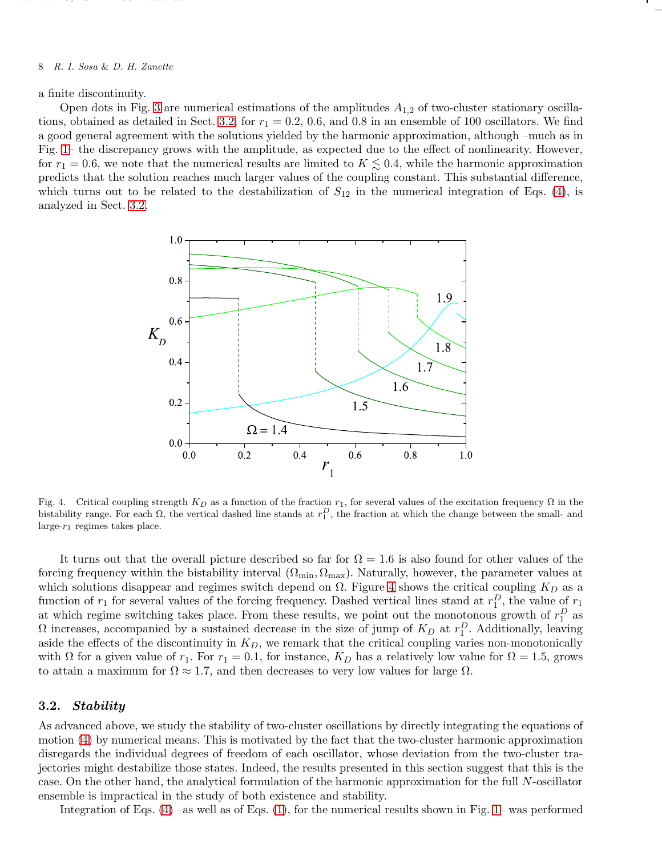#### 8 R. I. Sosa & D. H. Zanette

december 6, 2021 is a construction of the construction of the construction of the construction of the construction of the construction of the construction of the construction of the construction of the construction of the

a finite discontinuity.

Open dots in Fig. [3](#page-6-0) are numerical estimations of the amplitudes  $A_{1,2}$  of two-cluster stationary oscilla-tions, obtained as detailed in Sect. [3.2,](#page-7-0) for  $r_1 = 0.2$ , 0.6, and 0.8 in an ensemble of 100 oscillators. We find a good general agreement with the solutions yielded by the harmonic approximation, although –much as in Fig. [1–](#page-3-0) the discrepancy grows with the amplitude, as expected due to the effect of nonlinearity. However, for  $r_1 = 0.6$ , we note that the numerical results are limited to  $K \lesssim 0.4$ , while the harmonic approximation predicts that the solution reaches much larger values of the coupling constant. This substantial difference, which turns out to be related to the destabilization of  $S_{12}$  in the numerical integration of Eqs. [\(4\)](#page-3-1), is analyzed in Sect. [3.2.](#page-7-0)



<span id="page-7-1"></span>Fig. 4. Critical coupling strength  $K_D$  as a function of the fraction  $r_1$ , for several values of the excitation frequency  $\Omega$  in the bistability range. For each  $\Omega$ , the vertical dashed line stands at  $r_1^D$ , the fraction at which the change between the small- and large- $r_1$  regimes takes place.

It turns out that the overall picture described so far for  $\Omega = 1.6$  is also found for other values of the forcing frequency within the bistability interval  $(\Omega_{\rm min}, \Omega_{\rm max})$ . Naturally, however, the parameter values at which solutions disappear and regimes switch depend on  $\Omega$ . Figure [4](#page-7-1) shows the critical coupling  $K_D$  as a function of  $r_1$  for several values of the forcing frequency. Dashed vertical lines stand at  $r_1^D$ , the value of  $r_1$ at which regime switching takes place. From these results, we point out the monotonous growth of  $r_1^D$  as  $\Omega$  increases, accompanied by a sustained decrease in the size of jump of  $K_D$  at  $r_1^D$ . Additionally, leaving aside the effects of the discontinuity in  $K_D$ , we remark that the critical coupling varies non-monotonically with  $\Omega$  for a given value of  $r_1$ . For  $r_1 = 0.1$ , for instance,  $K_D$  has a relatively low value for  $\Omega = 1.5$ , grows to attain a maximum for  $\Omega \approx 1.7$ , and then decreases to very low values for large  $\Omega$ .

## <span id="page-7-0"></span>3.2. Stability

As advanced above, we study the stability of two-cluster oscillations by directly integrating the equations of motion [\(4\)](#page-3-1) by numerical means. This is motivated by the fact that the two-cluster harmonic approximation disregards the individual degrees of freedom of each oscillator, whose deviation from the two-cluster trajectories might destabilize those states. Indeed, the results presented in this section suggest that this is the case. On the other hand, the analytical formulation of the harmonic approximation for the full N-oscillator ensemble is impractical in the study of both existence and stability.

Integration of Eqs.  $(4)$  –as well as of Eqs.  $(1)$ , for the numerical results shown in Fig. [1–](#page-3-0) was performed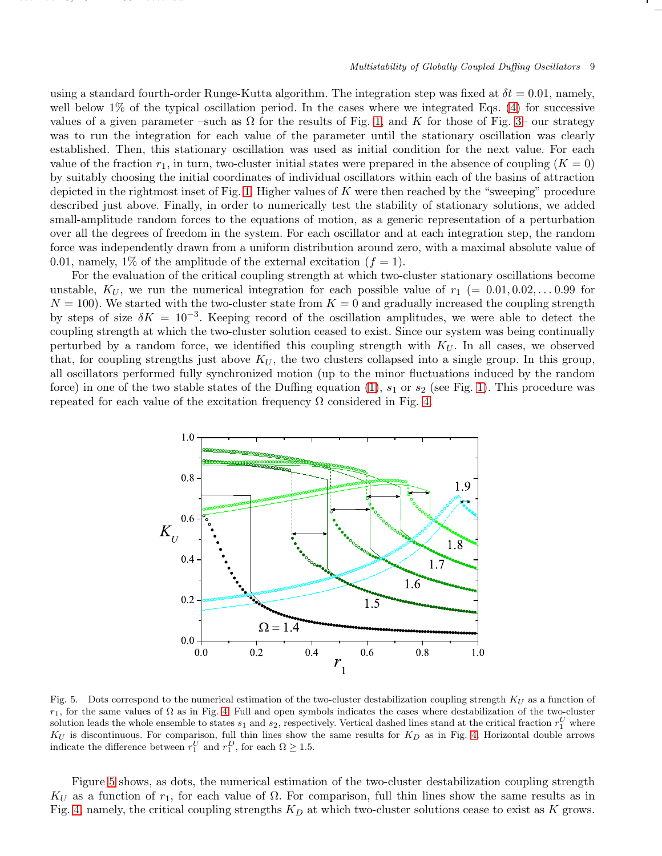using a standard fourth-order Runge-Kutta algorithm. The integration step was fixed at  $\delta t = 0.01$ , namely, well below  $1\%$  of the typical oscillation period. In the cases where we integrated Eqs. [\(4\)](#page-3-1) for successive values of a given parameter –such as  $\Omega$  for the results of Fig. [1,](#page-3-0) and K for those of Fig. [3–](#page-6-0) our strategy was to run the integration for each value of the parameter until the stationary oscillation was clearly established. Then, this stationary oscillation was used as initial condition for the next value. For each value of the fraction  $r_1$ , in turn, two-cluster initial states were prepared in the absence of coupling  $(K = 0)$ by suitably choosing the initial coordinates of individual oscillators within each of the basins of attraction depicted in the rightmost inset of Fig. [1.](#page-3-0) Higher values of  $K$  were then reached by the "sweeping" procedure described just above. Finally, in order to numerically test the stability of stationary solutions, we added small-amplitude random forces to the equations of motion, as a generic representation of a perturbation over all the degrees of freedom in the system. For each oscillator and at each integration step, the random force was independently drawn from a uniform distribution around zero, with a maximal absolute value of 0.01, namely, 1% of the amplitude of the external excitation  $(f = 1)$ .

december 6, 2021 is a construction of the construction of the construction of the construction of the construction of the construction of the construction of the construction of the construction of the construction of the

For the evaluation of the critical coupling strength at which two-cluster stationary oscillations become unstable,  $K_U$ , we run the numerical integration for each possible value of  $r_1$  (= 0.01, 0.02, ... 0.99 for  $N = 100$ . We started with the two-cluster state from  $K = 0$  and gradually increased the coupling strength by steps of size  $\delta K = 10^{-3}$ . Keeping record of the oscillation amplitudes, we were able to detect the coupling strength at which the two-cluster solution ceased to exist. Since our system was being continually perturbed by a random force, we identified this coupling strength with  $K_U$ . In all cases, we observed that, for coupling strengths just above  $K_U$ , the two clusters collapsed into a single group. In this group, all oscillators performed fully synchronized motion (up to the minor fluctuations induced by the random force) in one of the two stable states of the Duffing equation  $(1)$ ,  $s_1$  or  $s_2$  (see Fig. [1\)](#page-3-0). This procedure was repeated for each value of the excitation frequency  $\Omega$  considered in Fig. [4.](#page-7-1)



<span id="page-8-0"></span>Fig. 5. Dots correspond to the numerical estimation of the two-cluster destabilization coupling strength  $K_U$  as a function of  $r_1$ , for the same values of  $\Omega$  as in Fig. [4.](#page-7-1) Full and open symbols indicates the cases where destabilization of the two-cluster solution leads the whole ensemble to states  $s_1$  and  $s_2$ , respectively. Vertical dashed lines stand at the critical fraction  $r_1^U$  where  $K_U$  is discontinuous. For comparison, full thin lines show the same results for  $K_D$  as in Fig. [4.](#page-7-1) Horizontal double arrows indicate the difference between  $r_1^U$  and  $r_1^D$ , for each  $\Omega \geq 1.5$ .

Figure [5](#page-8-0) shows, as dots, the numerical estimation of the two-cluster destabilization coupling strength  $K_U$  as a function of  $r_1$ , for each value of  $\Omega$ . For comparison, full thin lines show the same results as in Fig. [4,](#page-7-1) namely, the critical coupling strengths  $K_D$  at which two-cluster solutions cease to exist as K grows.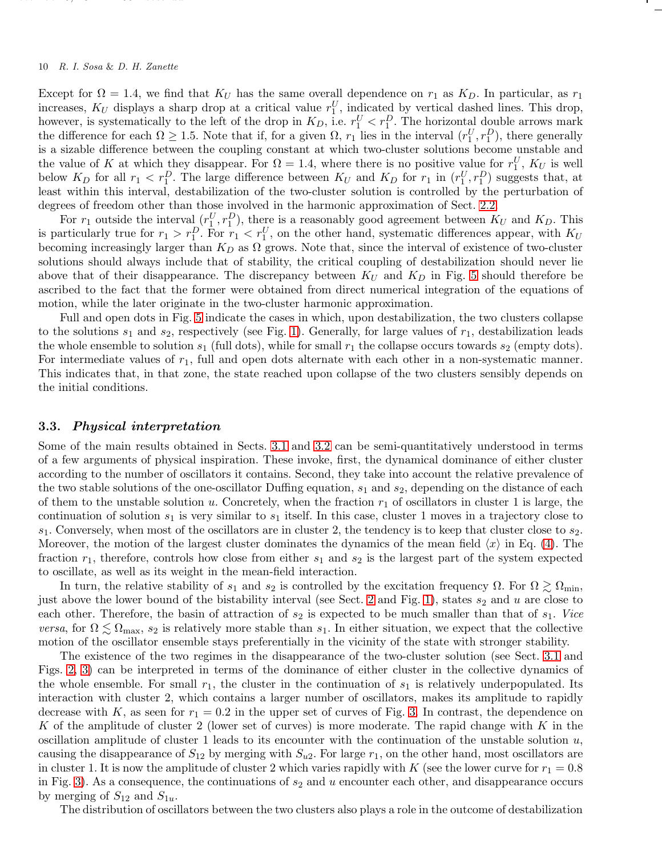## 10 R. I. Sosa & D. H. Zanette

december 6, 2021 is a construction of the construction of the construction of the construction of the construction of the construction of the construction of the construction of the construction of the construction of the

Except for  $\Omega = 1.4$ , we find that  $K_U$  has the same overall dependence on  $r_1$  as  $K_D$ . In particular, as  $r_1$ increases,  $K_U$  displays a sharp drop at a critical value  $r_1^U$ , indicated by vertical dashed lines. This drop, however, is systematically to the left of the drop in  $K_D$ , i.e.  $r_1^U < r_1^D$ . The horizontal double arrows mark the difference for each  $\Omega \ge 1.5$ . Note that if, for a given  $\Omega$ ,  $r_1$  lies in the interval  $(r_1^U, r_1^D)$ , there generally is a sizable difference between the coupling constant at which two-cluster solutions become unstable and the value of K at which they disappear. For  $\Omega = 1.4$ , where there is no positive value for  $r_1^U$ ,  $K_U$  is well below  $K_D$  for all  $r_1 < r_1^D$ . The large difference between  $K_U$  and  $K_D$  for  $r_1$  in  $(r_1^U, r_1^D)$  suggests that, at least within this interval, destabilization of the two-cluster solution is controlled by the perturbation of degrees of freedom other than those involved in the harmonic approximation of Sect. [2.2.](#page-3-2)

For  $r_1$  outside the interval  $(r_1^U, r_1^D)$ , there is a reasonably good agreement between  $K_U$  and  $K_D$ . This is particularly true for  $r_1 > r_1^D$ . For  $r_1 < r_1^U$ , on the other hand, systematic differences appear, with  $K_U$ becoming increasingly larger than  $K_D$  as  $\Omega$  grows. Note that, since the interval of existence of two-cluster solutions should always include that of stability, the critical coupling of destabilization should never lie above that of their disappearance. The discrepancy between  $K_U$  and  $K_D$  in Fig. [5](#page-8-0) should therefore be ascribed to the fact that the former were obtained from direct numerical integration of the equations of motion, while the later originate in the two-cluster harmonic approximation.

Full and open dots in Fig. [5](#page-8-0) indicate the cases in which, upon destabilization, the two clusters collapse to the solutions  $s_1$  and  $s_2$ , respectively (see Fig. [1\)](#page-3-0). Generally, for large values of  $r_1$ , destabilization leads the whole ensemble to solution  $s_1$  (full dots), while for small  $r_1$  the collapse occurs towards  $s_2$  (empty dots). For intermediate values of  $r_1$ , full and open dots alternate with each other in a non-systematic manner. This indicates that, in that zone, the state reached upon collapse of the two clusters sensibly depends on the initial conditions.

#### 3.3. Physical interpretation

Some of the main results obtained in Sects. [3.1](#page-4-2) and [3.2](#page-7-0) can be semi-quantitatively understood in terms of a few arguments of physical inspiration. These invoke, first, the dynamical dominance of either cluster according to the number of oscillators it contains. Second, they take into account the relative prevalence of the two stable solutions of the one-oscillator Duffing equation,  $s_1$  and  $s_2$ , depending on the distance of each of them to the unstable solution u. Concretely, when the fraction  $r_1$  of oscillators in cluster 1 is large, the continuation of solution  $s_1$  is very similar to  $s_1$  itself. In this case, cluster 1 moves in a trajectory close to  $s_1$ . Conversely, when most of the oscillators are in cluster 2, the tendency is to keep that cluster close to  $s_2$ . Moreover, the motion of the largest cluster dominates the dynamics of the mean field  $\langle x \rangle$  in Eq. [\(4\)](#page-3-1). The fraction  $r_1$ , therefore, controls how close from either  $s_1$  and  $s_2$  is the largest part of the system expected to oscillate, as well as its weight in the mean-field interaction.

In turn, the relative stability of  $s_1$  and  $s_2$  is controlled by the excitation frequency  $\Omega$ . For  $\Omega \gtrsim \Omega_{\text{min}}$ , just above the lower bound of the bistability interval (see Sect. [2](#page-2-0) and Fig. [1\)](#page-3-0), states  $s_2$  and u are close to each other. Therefore, the basin of attraction of  $s_2$  is expected to be much smaller than that of  $s_1$ . *Vice versa*, for  $\Omega \lesssim \Omega_{\text{max}}$ ,  $s_2$  is relatively more stable than  $s_1$ . In either situation, we expect that the collective motion of the oscillator ensemble stays preferentially in the vicinity of the state with stronger stability.

The existence of the two regimes in the disappearance of the two-cluster solution (see Sect. [3.1](#page-4-2) and Figs. [2,](#page-5-0) [3\)](#page-6-0) can be interpreted in terms of the dominance of either cluster in the collective dynamics of the whole ensemble. For small  $r_1$ , the cluster in the continuation of  $s_1$  is relatively underpopulated. Its interaction with cluster 2, which contains a larger number of oscillators, makes its amplitude to rapidly decrease with K, as seen for  $r_1 = 0.2$  in the upper set of curves of Fig. [3.](#page-6-0) In contrast, the dependence on K of the amplitude of cluster 2 (lower set of curves) is more moderate. The rapid change with K in the oscillation amplitude of cluster 1 leads to its encounter with the continuation of the unstable solution  $u$ , causing the disappearance of  $S_{12}$  by merging with  $S_{u2}$ . For large  $r_1$ , on the other hand, most oscillators are in cluster 1. It is now the amplitude of cluster 2 which varies rapidly with K (see the lower curve for  $r_1 = 0.8$ in Fig. [3\)](#page-6-0). As a consequence, the continuations of  $s_2$  and u encounter each other, and disappearance occurs by merging of  $S_{12}$  and  $S_{1u}$ .

The distribution of oscillators between the two clusters also plays a role in the outcome of destabilization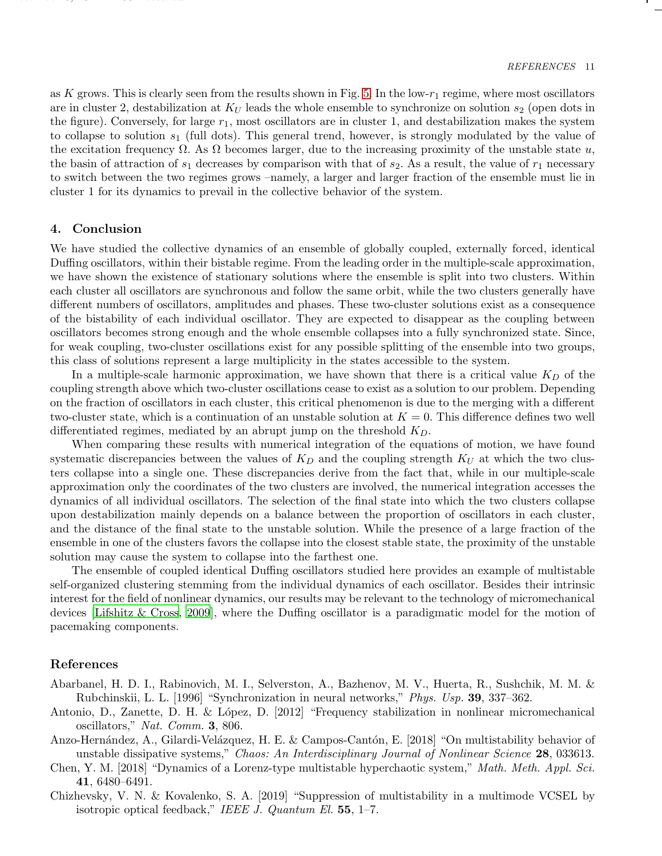as K grows. This is clearly seen from the results shown in Fig. [5.](#page-8-0) In the low- $r_1$  regime, where most oscillators are in cluster 2, destabilization at  $K_U$  leads the whole ensemble to synchronize on solution  $s_2$  (open dots in the figure). Conversely, for large  $r_1$ , most oscillators are in cluster 1, and destabilization makes the system to collapse to solution  $s_1$  (full dots). This general trend, however, is strongly modulated by the value of the excitation frequency  $\Omega$ . As  $\Omega$  becomes larger, due to the increasing proximity of the unstable state u, the basin of attraction of  $s_1$  decreases by comparison with that of  $s_2$ . As a result, the value of  $r_1$  necessary to switch between the two regimes grows –namely, a larger and larger fraction of the ensemble must lie in cluster 1 for its dynamics to prevail in the collective behavior of the system.

## <span id="page-10-5"></span>4. Conclusion

december 6, 2021 is a construction of the construction of the construction of the construction of the construction of the construction of the construction of the construction of the construction of the construction of the

We have studied the collective dynamics of an ensemble of globally coupled, externally forced, identical Duffing oscillators, within their bistable regime. From the leading order in the multiple-scale approximation, we have shown the existence of stationary solutions where the ensemble is split into two clusters. Within each cluster all oscillators are synchronous and follow the same orbit, while the two clusters generally have different numbers of oscillators, amplitudes and phases. These two-cluster solutions exist as a consequence of the bistability of each individual oscillator. They are expected to disappear as the coupling between oscillators becomes strong enough and the whole ensemble collapses into a fully synchronized state. Since, for weak coupling, two-cluster oscillations exist for any possible splitting of the ensemble into two groups, this class of solutions represent a large multiplicity in the states accessible to the system.

In a multiple-scale harmonic approximation, we have shown that there is a critical value  $K_D$  of the coupling strength above which two-cluster oscillations cease to exist as a solution to our problem. Depending on the fraction of oscillators in each cluster, this critical phenomenon is due to the merging with a different two-cluster state, which is a continuation of an unstable solution at  $K = 0$ . This difference defines two well differentiated regimes, mediated by an abrupt jump on the threshold  $K_D$ .

When comparing these results with numerical integration of the equations of motion, we have found systematic discrepancies between the values of  $K_D$  and the coupling strength  $K_U$  at which the two clusters collapse into a single one. These discrepancies derive from the fact that, while in our multiple-scale approximation only the coordinates of the two clusters are involved, the numerical integration accesses the dynamics of all individual oscillators. The selection of the final state into which the two clusters collapse upon destabilization mainly depends on a balance between the proportion of oscillators in each cluster, and the distance of the final state to the unstable solution. While the presence of a large fraction of the ensemble in one of the clusters favors the collapse into the closest stable state, the proximity of the unstable solution may cause the system to collapse into the farthest one.

The ensemble of coupled identical Duffing oscillators studied here provides an example of multistable self-organized clustering stemming from the individual dynamics of each oscillator. Besides their intrinsic interest for the field of nonlinear dynamics, our results may be relevant to the technology of micromechanical devices [\[Lifshitz & Cross](#page-11-24), [2009\]](#page-11-24), where the Duffing oscillator is a paradigmatic model for the motion of pacemaking components.

## References

- <span id="page-10-0"></span>Abarbanel, H. D. I., Rabinovich, M. I., Selverston, A., Bazhenov, M. V., Huerta, R., Sushchik, M. M. & Rubchinskii, L. L. [1996] "Synchronization in neural networks," *Phys. Usp.* 39, 337–362.
- <span id="page-10-4"></span>Antonio, D., Zanette, D. H. & L´opez, D. [2012] "Frequency stabilization in nonlinear micromechanical oscillators," *Nat. Comm.* 3, 806.
- <span id="page-10-3"></span>Anzo-Hernández, A., Gilardi-Velázquez, H. E. & Campos-Cantón, E. [2018] "On multistability behavior of unstable dissipative systems," *Chaos: An Interdisciplinary Journal of Nonlinear Science* 28, 033613.
- <span id="page-10-2"></span>Chen, Y. M. [2018] "Dynamics of a Lorenz-type multistable hyperchaotic system," *Math. Meth. Appl. Sci.* 41, 6480–6491.
- <span id="page-10-1"></span>Chizhevsky, V. N. & Kovalenko, S. A. [2019] "Suppression of multistability in a multimode VCSEL by isotropic optical feedback," *IEEE J. Quantum El.* 55, 1–7.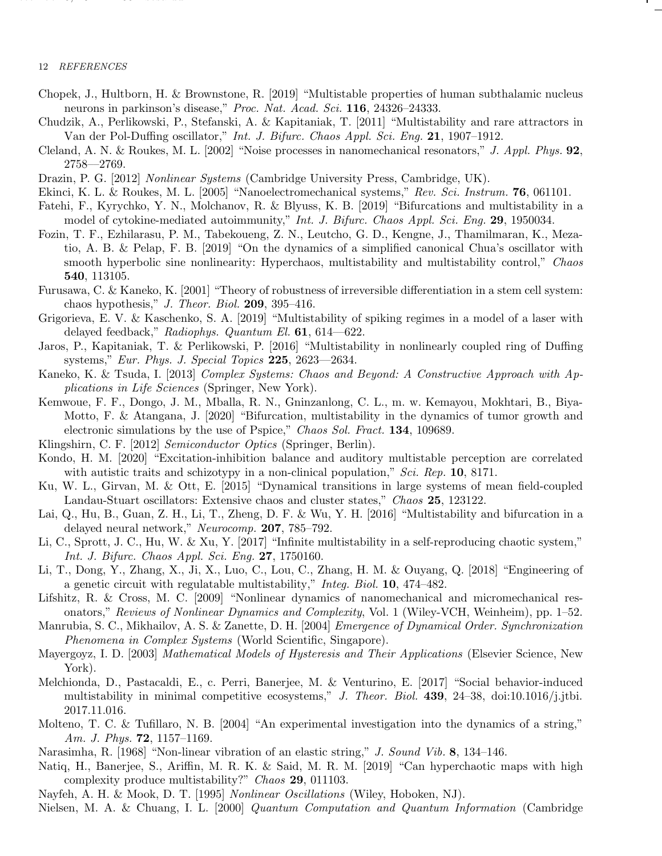## 12 REFERENCES

december 6, 2021 is a construction of the construction of the construction of the construction of the construction of the construction of the construction of the construction of the construction of the construction of the

- <span id="page-11-8"></span>Chopek, J., Hultborn, H. & Brownstone, R. [2019] "Multistable properties of human subthalamic nucleus neurons in parkinson's disease," *Proc. Nat. Acad. Sci.* 116, 24326–24333.
- <span id="page-11-17"></span>Chudzik, A., Perlikowski, P., Stefanski, A. & Kapitaniak, T. [2011] "Multistability and rare attractors in Van der Pol-Duffing oscillator," *Int. J. Bifurc. Chaos Appl. Sci. Eng.* 21, 1907–1912.
- <span id="page-11-20"></span>Cleland, A. N. & Roukes, M. L. [2002] "Noise processes in nanomechanical resonators," *J. Appl. Phys.* 92, 2758––2769.
- <span id="page-11-19"></span>Drazin, P. G. [2012] *Nonlinear Systems* (Cambridge University Press, Cambridge, UK).
- <span id="page-11-21"></span>Ekinci, K. L. & Roukes, M. L. [2005] "Nanoelectromechanical systems," *Rev. Sci. Instrum.* 76, 061101.
- <span id="page-11-10"></span>Fatehi, F., Kyrychko, Y. N., Molchanov, R. & Blyuss, K. B. [2019] "Bifurcations and multistability in a model of cytokine-mediated autoimmunity," *Int. J. Bifurc. Chaos Appl. Sci. Eng.* 29, 1950034.
- <span id="page-11-14"></span>Fozin, T. F., Ezhilarasu, P. M., Tabekoueng, Z. N., Leutcho, G. D., Kengne, J., Thamilmaran, K., Mezatio, A. B. & Pelap, F. B. [2019] "On the dynamics of a simplified canonical Chua's oscillator with smooth hyperbolic sine nonlinearity: Hyperchaos, multistability and multistability control," *Chaos* 540, 113105.
- <span id="page-11-5"></span>Furusawa, C. & Kaneko, K. [2001] "Theory of robustness of irreversible differentiation in a stem cell system: chaos hypothesis," *J. Theor. Biol.* 209, 395–416.
- <span id="page-11-13"></span>Grigorieva, E. V. & Kaschenko, S. A. [2019] "Multistability of spiking regimes in a model of a laser with delayed feedback," *Radiophys. Quantum El.* 61, 614––622.
- <span id="page-11-18"></span>Jaros, P., Kapitaniak, T. & Perlikowski, P. [2016] "Multistability in nonlinearly coupled ring of Duffing systems," *Eur. Phys. J. Special Topics* 225, 2623––2634.
- <span id="page-11-4"></span>Kaneko, K. & Tsuda, I. [2013] *Complex Systems: Chaos and Beyond: A Constructive Approach with Applications in Life Sciences* (Springer, New York).
- <span id="page-11-11"></span>Kemwoue, F. F., Dongo, J. M., Mballa, R. N., Gninzanlong, C. L., m. w. Kemayou, Mokhtari, B., Biya-Motto, F. & Atangana, J. [2020] "Bifurcation, multistability in the dynamics of tumor growth and electronic simulations by the use of Pspice," *Chaos Sol. Fract.* 134, 109689.
- <span id="page-11-2"></span>Klingshirn, C. F. [2012] *Semiconductor Optics* (Springer, Berlin).
- <span id="page-11-9"></span>Kondo, H. M. [2020] "Excitation-inhibition balance and auditory multistable perception are correlated with autistic traits and schizotypy in a non-clinical population," *Sci. Rep.* 10, 8171.
- <span id="page-11-3"></span>Ku, W. L., Girvan, M. & Ott, E. [2015] "Dynamical transitions in large systems of mean field-coupled Landau-Stuart oscillators: Extensive chaos and cluster states," *Chaos* 25, 123122.
- <span id="page-11-7"></span>Lai, Q., Hu, B., Guan, Z. H., Li, T., Zheng, D. F. & Wu, Y. H. [2016] "Multistability and bifurcation in a delayed neural network," *Neurocomp.* 207, 785–792.
- <span id="page-11-15"></span>Li, C., Sprott, J. C., Hu, W. & Xu, Y. [2017] "Infinite multistability in a self-reproducing chaotic system," *Int. J. Bifurc. Chaos Appl. Sci. Eng.* 27, 1750160.
- <span id="page-11-12"></span>Li, T., Dong, Y., Zhang, X., Ji, X., Luo, C., Lou, C., Zhang, H. M. & Ouyang, Q. [2018] "Engineering of a genetic circuit with regulatable multistability," *Integ. Biol.* 10, 474–482.
- <span id="page-11-24"></span>Lifshitz, R. & Cross, M. C. [2009] "Nonlinear dynamics of nanomechanical and micromechanical resonators," *Reviews of Nonlinear Dynamics and Complexity*, Vol. 1 (Wiley-VCH, Weinheim), pp. 1–52.
- <span id="page-11-26"></span>Manrubia, S. C., Mikhailov, A. S. & Zanette, D. H. [2004] *Emergence of Dynamical Order. Synchronization Phenomena in Complex Systems* (World Scientific, Singapore).
- <span id="page-11-0"></span>Mayergoyz, I. D. [2003] *Mathematical Models of Hysteresis and Their Applications* (Elsevier Science, New York).
- <span id="page-11-6"></span>Melchionda, D., Pastacaldi, E., c. Perri, Banerjee, M. & Venturino, E. [2017] "Social behavior-induced multistability in minimal competitive ecosystems," *J. Theor. Biol.* 439, 24–38, doi:10.1016/j.jtbi. 2017.11.016.
- <span id="page-11-23"></span>Molteno, T. C. & Tufillaro, N. B. [2004] "An experimental investigation into the dynamics of a string," *Am. J. Phys.* 72, 1157–1169.
- <span id="page-11-22"></span>Narasimha, R. [1968] "Non-linear vibration of an elastic string," *J. Sound Vib.* 8, 134–146.
- <span id="page-11-16"></span>Natiq, H., Banerjee, S., Ariffin, M. R. K. & Said, M. R. M. [2019] "Can hyperchaotic maps with high complexity produce multistability?" *Chaos* 29, 011103.
- <span id="page-11-25"></span>Nayfeh, A. H. & Mook, D. T. [1995] *Nonlinear Oscillations* (Wiley, Hoboken, NJ).
- <span id="page-11-1"></span>Nielsen, M. A. & Chuang, I. L. [2000] *Quantum Computation and Quantum Information* (Cambridge